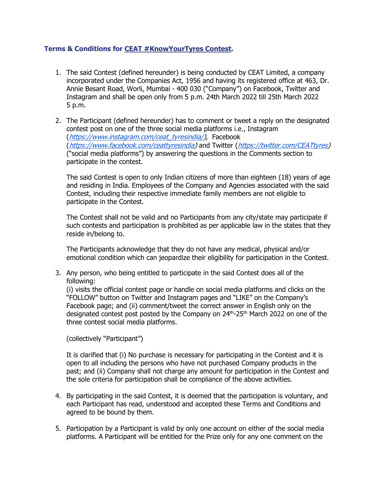## **Terms & Conditions for CEAT #KnowYourTyres Contest.**

- 1. The said Contest (defined hereunder) is being conducted by CEAT Limited, a company incorporated under the Companies Act, 1956 and having its registered office at 463, Dr. Annie Besant Road, Worli, Mumbai - 400 030 ("Company") on Facebook, Twitter and Instagram and shall be open only from 5 p.m. 24th March 2022 till 25th March 2022 5 p.m.
- 2. The Participant (defined hereunder) has to comment or tweet a reply on the designated contest post on one of the three social media platforms i.e., Instagram ([https://www.instagram.com/ceat\\_tyresindia/\)](https://www.instagram.com/ceat_tyresindia/), Facebook ([https://www.facebook.com/ceattyresindia\)](https://www.facebook.com/ceattyresindia) and Twitter ([https://twitter.com/CEATtyres\)](https://twitter.com/CEATtyres) ("social media platforms") by answering the questions in the Comments section to participate in the contest.

The said Contest is open to only Indian citizens of more than eighteen (18) years of age and residing in India. Employees of the Company and Agencies associated with the said Contest, including their respective immediate family members are not eligible to participate in the Contest.

The Contest shall not be valid and no Participants from any city/state may participate if such contests and participation is prohibited as per applicable law in the states that they reside in/belong to.

The Participants acknowledge that they do not have any medical, physical and/or emotional condition which can jeopardize their eligibility for participation in the Contest.

3. Any person, who being entitled to participate in the said Contest does all of the following:

(i) visits the official contest page or handle on social media platforms and clicks on the "FOLLOW" button on Twitter and Instagram pages and "LIKE" on the Company's Facebook page; and (ii) comment/tweet the correct answer in English only on the designated contest post posted by the Company on 24<sup>th</sup>-25<sup>th</sup> March 2022 on one of the three contest social media platforms.

(collectively "Participant")

It is clarified that (i) No purchase is necessary for participating in the Contest and it is open to all including the persons who have not purchased Company products in the past; and (ii) Company shall not charge any amount for participation in the Contest and the sole criteria for participation shall be compliance of the above activities.

- 4. By participating in the said Contest, it is deemed that the participation is voluntary, and each Participant has read, understood and accepted these Terms and Conditions and agreed to be bound by them.
- 5. Participation by a Participant is valid by only one account on either of the social media platforms. A Participant will be entitled for the Prize only for any one comment on the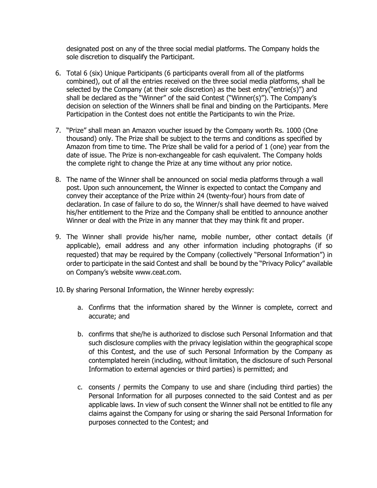designated post on any of the three social medial platforms. The Company holds the sole discretion to disqualify the Participant.

- 6. Total 6 (six) Unique Participants (6 participants overall from all of the platforms combined), out of all the entries received on the three social media platforms, shall be selected by the Company (at their sole discretion) as the best entry("entrie(s)") and shall be declared as the "Winner" of the said Contest ("Winner(s)"). The Company's decision on selection of the Winners shall be final and binding on the Participants. Mere Participation in the Contest does not entitle the Participants to win the Prize.
- 7. "Prize" shall mean an Amazon voucher issued by the Company worth Rs. 1000 (One thousand) only. The Prize shall be subject to the terms and conditions as specified by Amazon from time to time. The Prize shall be valid for a period of 1 (one) year from the date of issue. The Prize is non-exchangeable for cash equivalent. The Company holds the complete right to change the Prize at any time without any prior notice.
- 8. The name of the Winner shall be announced on social media platforms through a wall post. Upon such announcement, the Winner is expected to contact the Company and convey their acceptance of the Prize within 24 (twenty-four) hours from date of declaration. In case of failure to do so, the Winner/s shall have deemed to have waived his/her entitlement to the Prize and the Company shall be entitled to announce another Winner or deal with the Prize in any manner that they may think fit and proper.
- 9. The Winner shall provide his/her name, mobile number, other contact details (if applicable), email address and any other information including photographs (if so requested) that may be required by the Company (collectively "Personal Information") in order to participate in the said Contest and shall be bound by the "Privacy Policy" available on Company's website [www.ceat.com.](http://www.ceat.com/)
- 10. By sharing Personal Information, the Winner hereby expressly:
	- a. Confirms that the information shared by the Winner is complete, correct and accurate; and
	- b. confirms that she/he is authorized to disclose such Personal Information and that such disclosure complies with the privacy legislation within the geographical scope of this Contest, and the use of such Personal Information by the Company as contemplated herein (including, without limitation, the disclosure of such Personal Information to external agencies or third parties) is permitted; and
	- c. consents / permits the Company to use and share (including third parties) the Personal Information for all purposes connected to the said Contest and as per applicable laws. In view of such consent the Winner shall not be entitled to file any claims against the Company for using or sharing the said Personal Information for purposes connected to the Contest; and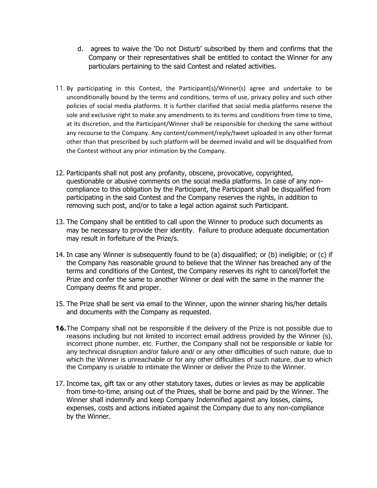- d. agrees to waive the 'Do not Disturb' subscribed by them and confirms that the Company or their representatives shall be entitled to contact the Winner for any particulars pertaining to the said Contest and related activities.
- 11. By participating in this Contest, the Participant(s)/Winner(s) agree and undertake to be unconditionally bound by the terms and conditions, terms of use, privacy policy and such other policies of social media platforms. It is further clarified that social media platforms reserve the sole and exclusive right to make any amendments to its terms and conditions from time to time, at its discretion, and the Participant/Winner shall be responsible for checking the same without any recourse to the Company. Any content/comment/reply/tweet uploaded in any other format other than that prescribed by such platform will be deemed invalid and will be disqualified from the Contest without any prior intimation by the Company.
- 12. Participants shall not post any profanity, obscene, provocative, copyrighted, questionable or abusive comments on the social media platforms. In case of any noncompliance to this obligation by the Participant, the Participant shall be disqualified from participating in the said Contest and the Company reserves the rights, in addition to removing such post, and/or to take a legal action against such Participant.
- 13. The Company shall be entitled to call upon the Winner to produce such documents as may be necessary to provide their identity. Failure to produce adequate documentation may result in forfeiture of the Prize/s.
- 14. In case any Winner is subsequently found to be (a) disqualified; or (b) ineligible; or (c) if the Company has reasonable ground to believe that the Winner has breached any of the terms and conditions of the Contest, the Company reserves its right to cancel/forfeit the Prize and confer the same to another Winner or deal with the same in the manner the Company deems fit and proper.
- 15. The Prize shall be sent via email to the Winner, upon the winner sharing his/her details and documents with the Company as requested.
- **16.**The Company shall not be responsible if the delivery of the Prize is not possible due to reasons including but not limited to incorrect email address provided by the Winner (s), incorrect phone number, etc. Further, the Company shall not be responsible or liable for any technical disruption and/or failure and/ or any other difficulties of such nature, due to which the Winner is unreachable or for any other difficulties of such nature, due to which the Company is unable to intimate the Winner or deliver the Prize to the Winner.
- 17. Income tax, gift tax or any other statutory taxes, duties or levies as may be applicable from time-to-time, arising out of the Prizes, shall be borne and paid by the Winner. The Winner shall indemnify and keep Company Indemnified against any losses, claims, expenses, costs and actions initiated against the Company due to any non-compliance by the Winner.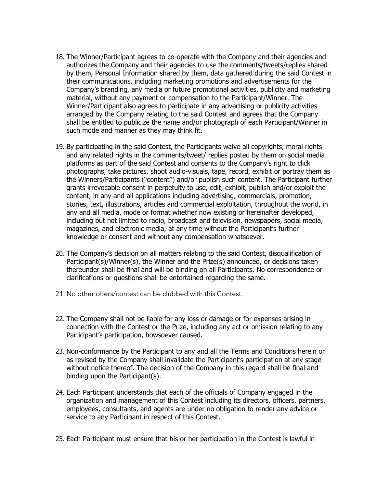- 18. The Winner/Participant agrees to co-operate with the Company and their agencies and authorizes the Company and their agencies to use the comments/tweets/replies shared by them, Personal Information shared by them, data gathered during the said Contest in their communications, including marketing promotions and advertisements for the Company's branding, any media or future promotional activities, publicity and marketing material, without any payment or compensation to the Participant/Winner. The Winner/Participant also agrees to participate in any advertising or publicity activities arranged by the Company relating to the said Contest and agrees that the Company shall be entitled to publicize the name and/or photograph of each Participant/Winner in such mode and manner as they may think fit.
- 19. By participating in the said Contest, the Participants waive all copyrights, moral rights and any related rights in the comments/tweet/ replies posted by them on social media platforms as part of the said Contest and consents to the Company's right to click photographs, take pictures, shoot audio-visuals, tape, record, exhibit or portray them as the Winners/Participants ("content") and/or publish such content. The Participant further grants irrevocable consent in perpetuity to use, edit, exhibit, publish and/or exploit the content, in any and all applications including advertising, commercials, promotion, stories, text, illustrations, articles and commercial exploitation, throughout the world, in any and all media, mode or format whether now existing or hereinafter developed, including but not limited to radio, broadcast and television, newspapers, social media, magazines, and electronic media, at any time without the Participant's further knowledge or consent and without any compensation whatsoever.
- 20. The Company's decision on all matters relating to the said Contest, disqualification of Participant(s)/Winner(s), the Winner and the Prize(s) announced, or decisions taken thereunder shall be final and will be binding on all Participants. No correspondence or clarifications or questions shall be entertained regarding the same.
- 21. No other offers/contest can be clubbed with this Contest.
- 22. The Company shall not be liable for any loss or damage or for expenses arising in connection with the Contest or the Prize, including any act or omission relating to any Participant's participation, howsoever caused.
- 23. Non-conformance by the Participant to any and all the Terms and Conditions herein or as revised by the Company shall invalidate the Participant's participation at any stage without notice thereof. The decision of the Company in this regard shall be final and binding upon the Participant(s).
- 24. Each Participant understands that each of the officials of Company engaged in the organization and management of this Contest including its directors, officers, partners, employees, consultants, and agents are under no obligation to render any advice or service to any Participant in respect of this Contest.
- 25. Each Participant must ensure that his or her participation in the Contest is lawful in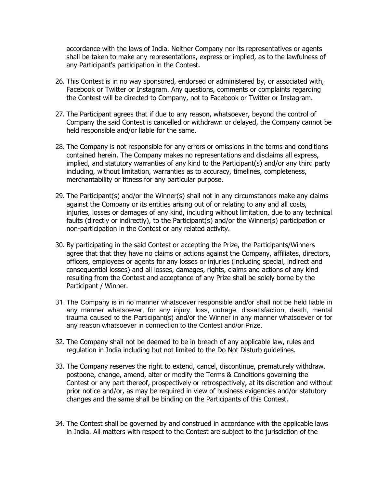accordance with the laws of India. Neither Company nor its representatives or agents shall be taken to make any representations, express or implied, as to the lawfulness of any Participant's participation in the Contest.

- 26. This Contest is in no way sponsored, endorsed or administered by, or associated with, Facebook or Twitter or Instagram. Any questions, comments or complaints regarding the Contest will be directed to Company, not to Facebook or Twitter or Instagram.
- 27. The Participant agrees that if due to any reason, whatsoever, beyond the control of Company the said Contest is cancelled or withdrawn or delayed, the Company cannot be held responsible and/or liable for the same.
- 28. The Company is not responsible for any errors or omissions in the terms and conditions contained herein. The Company makes no representations and disclaims all express, implied, and statutory warranties of any kind to the Participant(s) and/or any third party including, without limitation, warranties as to accuracy, timelines, completeness, merchantability or fitness for any particular purpose.
- 29. The Participant(s) and/or the Winner(s) shall not in any circumstances make any claims against the Company or its entities arising out of or relating to any and all costs, injuries, losses or damages of any kind, including without limitation, due to any technical faults (directly or indirectly), to the Participant(s) and/or the Winner(s) participation or non-participation in the Contest or any related activity.
- 30. By participating in the said Contest or accepting the Prize, the Participants/Winners agree that that they have no claims or actions against the Company, affiliates, directors, officers, employees or agents for any losses or injuries (including special, indirect and consequential losses) and all losses, damages, rights, claims and actions of any kind resulting from the Contest and acceptance of any Prize shall be solely borne by the Participant / Winner.
- 31. The Company is in no manner whatsoever responsible and/or shall not be held liable in any manner whatsoever, for any injury, loss, outrage, dissatisfaction, death, mental trauma caused to the Participant(s) and/or the Winner in any manner whatsoever or for any reason whatsoever in connection to the Contest and/or Prize.
- 32. The Company shall not be deemed to be in breach of any applicable law, rules and regulation in India including but not limited to the Do Not Disturb guidelines.
- 33. The Company reserves the right to extend, cancel, discontinue, prematurely withdraw, postpone, change, amend, alter or modify the Terms & Conditions governing the Contest or any part thereof, prospectively or retrospectively, at its discretion and without prior notice and/or, as may be required in view of business exigencies and/or statutory changes and the same shall be binding on the Participants of this Contest.
- 34. The Contest shall be governed by and construed in accordance with the applicable laws in India. All matters with respect to the Contest are subject to the jurisdiction of the